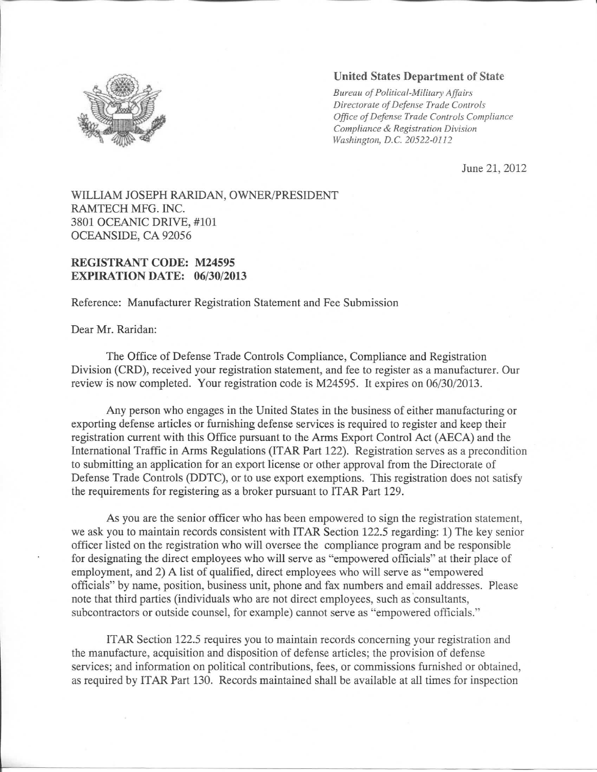

## **United States Department of State**

*Bureau of Political-Military Affairs Directorate of Defense Trade Controls Office of Defense Trade Controls Compliance Compliance & Registration Division Washington, B.C. 20522-0112*

June 21, 2012

## WILLIAM JOSEPH RARIDAN, OWNER/PRESIDENT RAMTECH MFG. INC. 3801 OCEANIC DRIVE, #101 OCEANSIDE, CA 92056

## **REGISTRANT CODE: M24595 EXPIRATION DATE: 06/30/2013**

Reference: Manufacturer Registration Statement and Fee Submission

Dear Mr. Raridan:

The Office of Defense Trade Controls Compliance, Compliance and Registration Division (CRD), received your registration statement, and fee to register as a manufacturer. Our review is now completed. Your registration code is M24595. It expires on 06/30/2013.

Any person who engages in the United States in the business of either manufacturing or exporting defense articles or furnishing defense services is required to register and keep their registration current with this Office pursuant to the Arms Export Control Act (AECA) and the International Traffic in Arms Regulations (ITAR Part 122). Registration serves as a precondition to submitting an application for an export license or other approval from the Directorate of Defense Trade Controls (DDTC), or to use export exemptions. This registration does not satisfy the requirements for registering as a broker pursuant to ITAR Part 129.

As you are the senior officer who has been empowered to sign the registration statement, we ask you to maintain records consistent with ITAR Section 122.5 regarding: 1) The key senior officer listed on the registration who will oversee the compliance program and be responsible for designating the direct employees who will serve as "empowered officials" at their place of employment, and 2) A list of qualified, direct employees who will serve as "empowered officials" by name, position, business unit, phone and fax numbers and email addresses. Please note that third parties (individuals who are not direct employees, such as consultants, subcontractors or outside counsel, for example) cannot serve as "empowered officials."

ITAR Section 122.5 requires you to maintain records concerning your registration and the manufacture, acquisition and disposition of defense articles; the provision of defense services; and information on political contributions, fees, or commissions furnished or obtained, as required by ITAR Part 130. Records maintained shall be available at all times for inspection